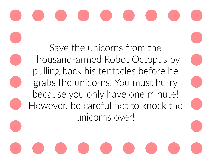Save the unicorns from the Thousand-armed Robot Octopus by pulling back his tentacles before he grabs the unicorns. You must hurry because you only have one minute! However, be careful not to knock the unicorns over!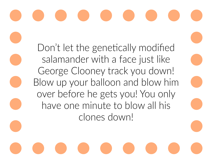#### Don't let the genetically modified salamander with a face just like George Clooney track you down! Blow up your balloon and blow him over before he gets you! You only have one minute to blow all his clones down!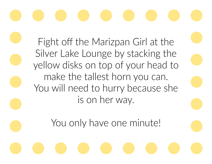Fight off the Marizpan Girl at the Silver Lake Lounge by stacking the yellow disks on top of your head to make the tallest horn you can. You will need to hurry because she is on her way.

You only have one minute!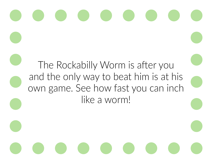## The Rockabilly Worm is after you and the only way to beat him is at his own game. See how fast you can inch like a worm!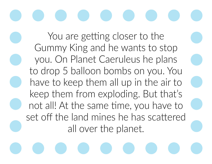### You are getting closer to the Gummy King and he wants to stop

you. On Planet Caeruleus he plans to drop 5 balloon bombs on you. You have to keep them all up in the air to keep them from exploding. But that's not all! At the same time, you have to set off the land mines he has scattered all over the planet.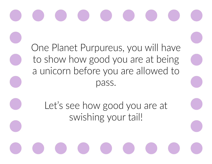One Planet Purpureus, you will have to show how good you are at being a unicorn before you are allowed to pass.

Let's see how good you are at swishing your tail!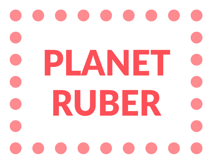#### PLANET RUBER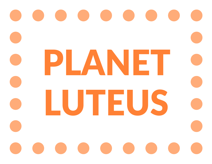#### PLANET LUTEUS.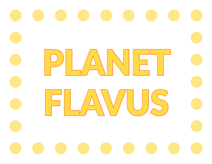# PLANET C FLAWUS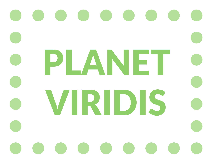#### PLANET Viridis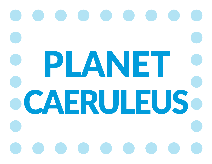## **PLANET OCAERULEUSO**